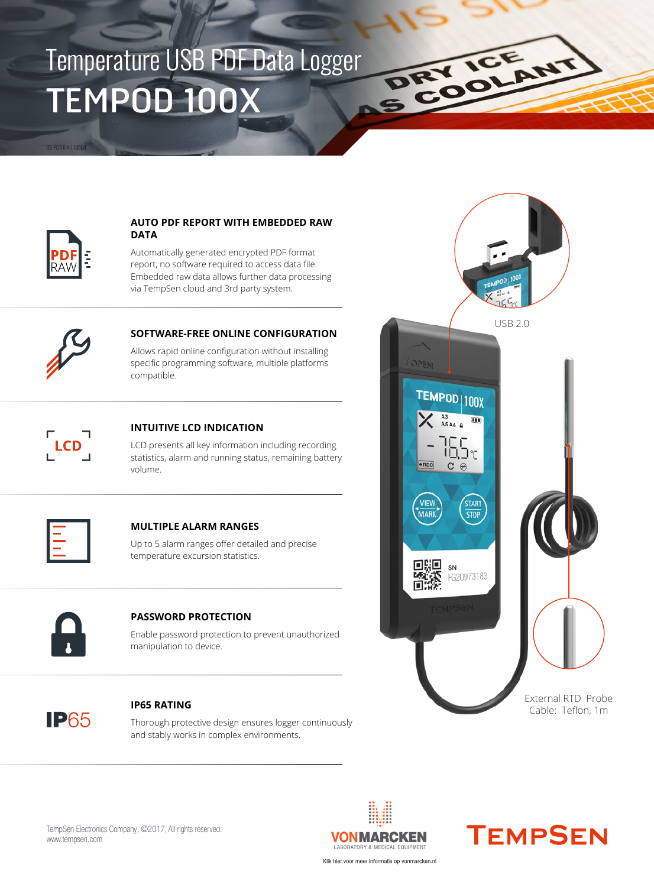# TEMPOD 100X Temperature USB PDF Data Logger



DS-PD100X-170504

#### **AUTO PDF REPORT WITH EMBEDDED RAW DATA**

Automatically generated encrypted PDF format report, no software required to access data file. Embedded raw data allows further data processing via TempSen cloud and 3rd party system.



### **SOFTWARE-FREE ONLINE CONFIGURATION**

Allows rapid online configuration without installing specific programming software, multiple platforms compatible.



#### **INTUITIVE LCD INDICATION**

LCD presents all key information including recording statistics, alarm and running status, remaining battery volume.



#### **MULTIPLE ALARM RANGES**

Up to 5 alarm ranges offer detailed and precise temperature excursion statistics.



#### **PASSWORD PROTECTION**

Enable password protection to prevent unauthorized manipulation to device.



#### **IP65 RATING**

Thorough protective design ensures logger continuously and stably works in complex environments.



DRY ICE ANT





TempSen Electronics Company, ©2017, All rights reserved. www.tempsen.com

Klik hier voor meer informatie op vonmarcken.nl